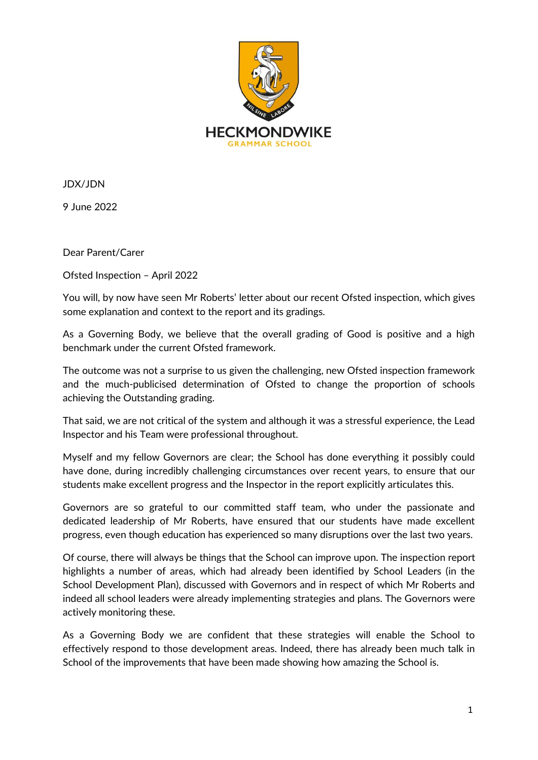

JDX/JDN

9 June 2022

Dear Parent/Carer

Ofsted Inspection – April 2022

You will, by now have seen Mr Roberts' letter about our recent Ofsted inspection, which gives some explanation and context to the report and its gradings.

As a Governing Body, we believe that the overall grading of Good is positive and a high benchmark under the current Ofsted framework.

The outcome was not a surprise to us given the challenging, new Ofsted inspection framework and the much-publicised determination of Ofsted to change the proportion of schools achieving the Outstanding grading.

That said, we are not critical of the system and although it was a stressful experience, the Lead Inspector and his Team were professional throughout.

Myself and my fellow Governors are clear; the School has done everything it possibly could have done, during incredibly challenging circumstances over recent years, to ensure that our students make excellent progress and the Inspector in the report explicitly articulates this.

Governors are so grateful to our committed staff team, who under the passionate and dedicated leadership of Mr Roberts, have ensured that our students have made excellent progress, even though education has experienced so many disruptions over the last two years.

Of course, there will always be things that the School can improve upon. The inspection report highlights a number of areas, which had already been identified by School Leaders (in the School Development Plan), discussed with Governors and in respect of which Mr Roberts and indeed all school leaders were already implementing strategies and plans. The Governors were actively monitoring these.

As a Governing Body we are confident that these strategies will enable the School to effectively respond to those development areas. Indeed, there has already been much talk in School of the improvements that have been made showing how amazing the School is.